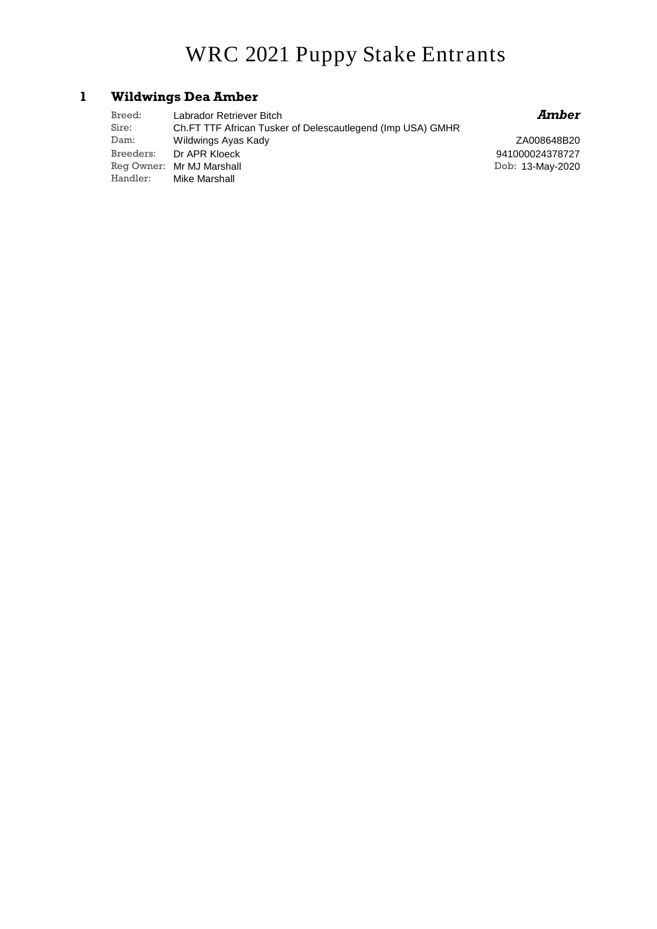# **WRC 2021 Puppy Stake Entrants**

### **1 Wildwings Dea Amber**

| Breed: | Labrador Retriever Bitch                                   |
|--------|------------------------------------------------------------|
| Sire:  | Ch.FT TTF African Tusker of Delescautlegend (Imp USA) GMHR |
| Dam:   | Wildwings Ayas Kady                                        |
|        | Breeders: Dr APR Kloeck                                    |
|        | Reg Owner: Mr MJ Marshall                                  |
|        | Handler: Mike Marshall                                     |

### *Amber*

ZA008648B20 Dob: 13-May-2020 941000024378727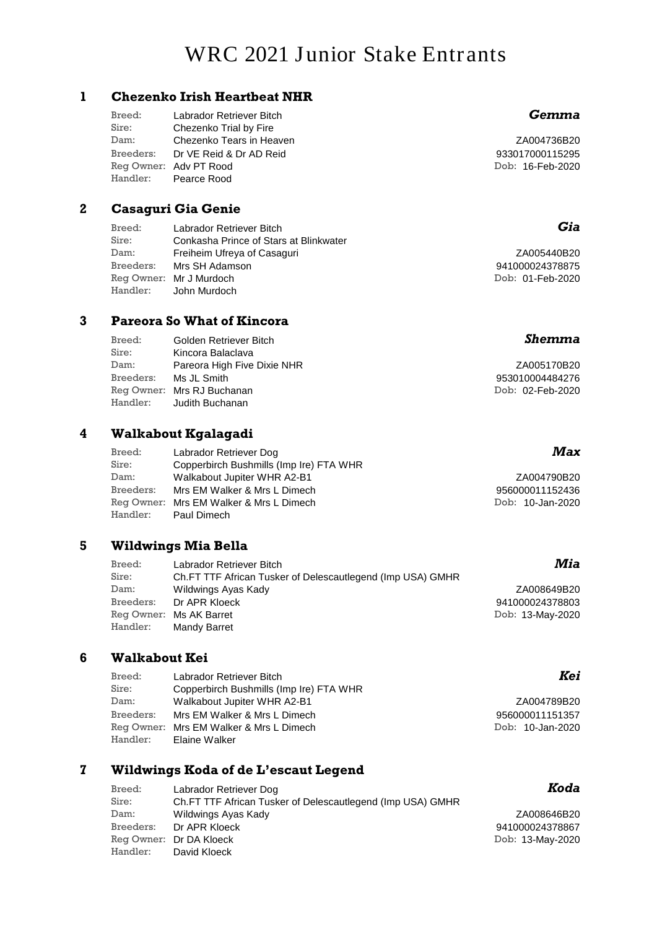# **WRC 2021 Junior Stake Entrants**

#### **1 Chezenko Irish Heartbeat NHR**

| Breed:    | Labrador Retriever Bitch |
|-----------|--------------------------|
| Sire:     | Chezenko Trial by Fire   |
| Dam:      | Chezenko Tears in Heaven |
| Breeders: | Dr VE Reid & Dr AD Reid  |
|           | Reg Owner: Adv PT Rood   |
| Handler:  | Pearce Rood              |

#### **2 Casaguri Gia Genie**

| Breed:    | Labrador Retriever Bitch               |
|-----------|----------------------------------------|
| Sire:     | Conkasha Prince of Stars at Blinkwater |
| Dam:      | Freiheim Ufreya of Casaguri            |
| Breeders: | Mrs SH Adamson                         |
|           | Reg Owner: Mr J Murdoch                |
| Handler:  | John Murdoch                           |

#### **3 Pareora So What of Kincora**

| Breed:    | Golden Retriever Bitch      | <b>Shemma</b>    |
|-----------|-----------------------------|------------------|
| Sire:     | Kincora Balaclava           |                  |
| Dam:      | Pareora High Five Dixie NHR | ZA005170B20      |
| Breeders: | Ms JL Smith                 | 953010004484276  |
|           | Reg Owner: Mrs RJ Buchanan  | Dob: 02-Feb-2020 |
| Handler:  | Judith Buchanan             |                  |

#### **4 Walkabout Kgalagadi**

| Breed:    | Labrador Retriever Dog                  | Ma.             |
|-----------|-----------------------------------------|-----------------|
| Sire:     | Copperbirch Bushmills (Imp Ire) FTA WHR |                 |
| Dam:      | Walkabout Jupiter WHR A2-B1             | ZA004790B2      |
| Breeders: | Mrs EM Walker & Mrs L Dimech            | 95600001115243  |
|           | Reg Owner: Mrs EM Walker & Mrs L Dimech | Dob: 10-Jan-202 |
| Handler:  | Paul Dimech                             |                 |

#### **5 Wildwings Mia Bella**

| Breed:    | Labrador Retriever Bitch                                   | Mia              |
|-----------|------------------------------------------------------------|------------------|
| Sire:     | Ch.FT TTF African Tusker of Delescautlegend (Imp USA) GMHR |                  |
| Dam:      | Wildwings Ayas Kady                                        | ZA008649B20      |
| Breeders: | Dr APR Kloeck                                              | 941000024378803  |
|           | Reg Owner: Ms AK Barret                                    | Dob: 13-May-2020 |
| Handler:  | Mandy Barret                                               |                  |

#### **6 Walkabout Kei**

| Breed:    | Labrador Retriever Bitch                |  |
|-----------|-----------------------------------------|--|
| Sire:     | Copperbirch Bushmills (Imp Ire) FTA WHR |  |
| Dam:      | Walkabout Jupiter WHR A2-B1             |  |
| Breeders: | Mrs EM Walker & Mrs L Dimech            |  |
|           | Reg Owner: Mrs EM Walker & Mrs L Dimech |  |
| Handler:  | Elaine Walker                           |  |

### **7 Wildwings Koda of de L'escaut Legend**

| Breed:    | Labrador Retriever Dog                                     |
|-----------|------------------------------------------------------------|
| Sire:     | Ch.FT TTF African Tusker of Delescautlegend (Imp USA) GMHR |
| Dam:      | Wildwings Ayas Kady                                        |
| Breeders: | Dr APR Kloeck                                              |
|           | Reg Owner: Dr DA Kloeck                                    |
| Handler:  | David Kloeck                                               |

### *Gemma*

ZA004736B20 Dob: 16-Feb-2020 933017000115295

### *Gia*

ZA005440B20 Dob: 01-Feb-2020 941000024378875

### *Max*

ZA004790B20 Dob: 10-Jan-2020 956000011152436

### *Mia*

### *Kei*

ZA004789B20 Dob: 10-Jan-2020 956000011151357

### *Koda*

ZA008646B20 Dob: 13-May-2020 941000024378867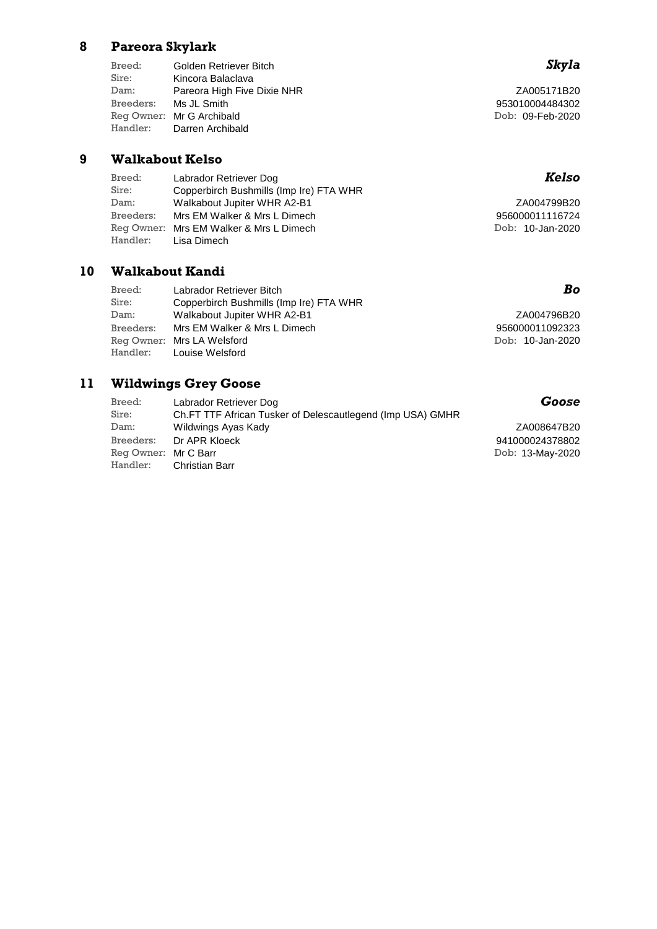### **8 Pareora Skylark**

Sire: Kincora Balaclava Dam: Pareora High Five Dixie NHR Breeders: Ms JL Smith Reg Owner: Mr G Archibald Handler: Darren Archibald Breed: Golden Retriever Bitch

#### **9 Walkabout Kelso**

| Breed:    | Labrador Retriever Dog                  | Kelso            |
|-----------|-----------------------------------------|------------------|
| Sire:     | Copperbirch Bushmills (Imp Ire) FTA WHR |                  |
| Dam:      | Walkabout Jupiter WHR A2-B1             | ZA004799B20      |
| Breeders: | Mrs EM Walker & Mrs L Dimech            | 956000011116724  |
|           | Reg Owner: Mrs EM Walker & Mrs L Dimech | Dob: 10-Jan-2020 |
| Handler:  | Lisa Dimech                             |                  |

## **10 Walkabout Kandi**

| Breed:    | Labrador Retriever Bitch                | Bo               |
|-----------|-----------------------------------------|------------------|
| Sire:     | Copperbirch Bushmills (Imp Ire) FTA WHR |                  |
| Dam:      | Walkabout Jupiter WHR A2-B1             | ZA004796B20      |
| Breeders: | Mrs EM Walker & Mrs L Dimech            | 956000011092323  |
|           | Reg Owner: Mrs LA Welsford              | Dob: 10-Jan-2020 |
|           | Handler: Louise Welsford                |                  |

### **11 Wildwings Grey Goose**

| Breed:               | Labrador Retriever Dog                                     | Goose            |
|----------------------|------------------------------------------------------------|------------------|
| Sire:                | Ch.FT TTF African Tusker of Delescautlegend (Imp USA) GMHR |                  |
| Dam:                 | Wildwings Ayas Kady                                        | ZA008647B20      |
| Breeders:            | Dr APR Kloeck                                              | 941000024378802  |
| Reg Owner: Mr C Barr |                                                            | Dob: 13-May-2020 |
| Handler:             | Christian Barr                                             |                  |

## *Skyla*

ZA005171B20 Dob: 09-Feb-2020 953010004484302

## *Kelso*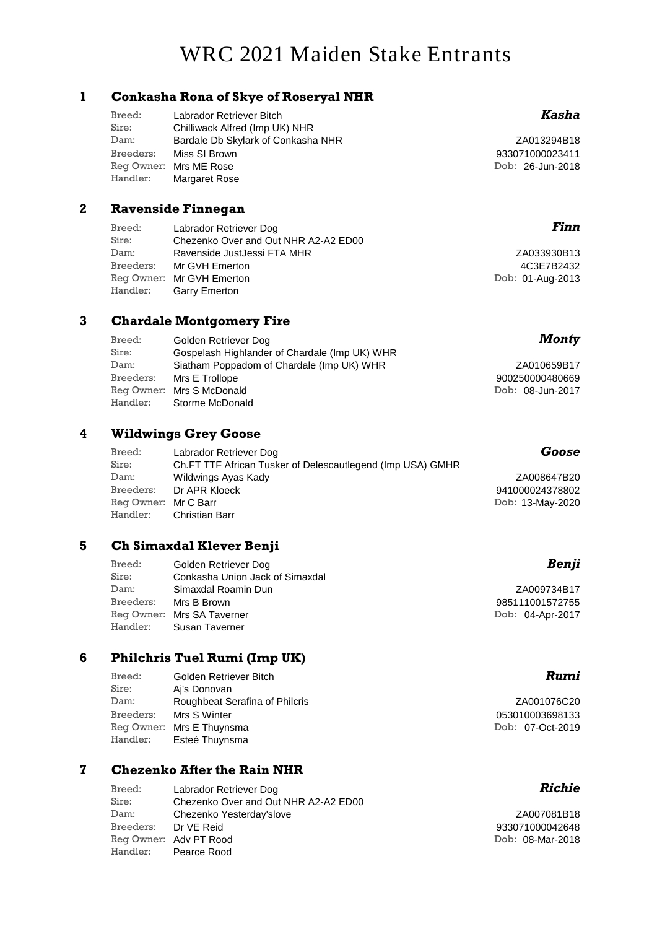# **WRC 2021 Maiden Stake Entrants**

#### **1 Conkasha Rona of Skye of Roseryal NHR**

| Breed:    | Labrador Retriever Bitch           |
|-----------|------------------------------------|
| Sire:     | Chilliwack Alfred (Imp UK) NHR     |
| Dam:      | Bardale Db Skylark of Conkasha NHR |
| Breeders: | Miss SI Brown                      |
|           | Reg Owner: Mrs ME Rose             |
| Handler:  | Margaret Rose                      |

#### **2 Ravenside Finnegan**

| Breed:<br>Sire: | Labrador Retriever Dog<br>Chezenko Over and Out NHR A2-A2 ED00 | Finn             |
|-----------------|----------------------------------------------------------------|------------------|
| Dam:            | Ravenside JustJessi FTA MHR                                    | ZA033930B13      |
| Breeders:       | Mr GVH Emerton                                                 | 4C3E7B2432       |
|                 | Reg Owner: Mr GVH Emerton                                      | Dob: 01-Aug-2013 |
| Handler:        | <b>Garry Emerton</b>                                           |                  |

#### **3 Chardale Montgomery Fire**

| Breed:    | Golden Retriever Dog                          | Monty            |
|-----------|-----------------------------------------------|------------------|
| Sire:     | Gospelash Highlander of Chardale (Imp UK) WHR |                  |
| Dam:      | Siatham Poppadom of Chardale (Imp UK) WHR     | ZA010659B17      |
| Breeders: | Mrs E Trollope                                | 900250000480669  |
|           | Reg Owner: Mrs S McDonald                     | Dob: 08-Jun-2017 |
| Handler:  | Storme McDonald                               |                  |

### **4 Wildwings Grey Goose**

| Breed:               | Labrador Retriever Dog                                     | Goose            |
|----------------------|------------------------------------------------------------|------------------|
| Sire:                | Ch.FT TTF African Tusker of Delescautlegend (Imp USA) GMHR |                  |
| Dam:                 | Wildwings Ayas Kady                                        | ZA008647B20      |
| Breeders:            | Dr APR Kloeck                                              | 941000024378802  |
| Reg Owner: Mr C Barr |                                                            | Dob: 13-May-2020 |
| Handler:             | <b>Christian Barr</b>                                      |                  |

#### **5 Ch Simaxdal Klever Benji**

| Breed:    | Golden Retriever Dog            | Benji            |
|-----------|---------------------------------|------------------|
| Sire:     | Conkasha Union Jack of Simaxdal |                  |
| Dam:      | Simaxdal Roamin Dun             | ZA009734B17      |
| Breeders: | Mrs B Brown                     | 985111001572755  |
|           | Reg Owner: Mrs SA Taverner      | Dob: 04-Apr-2017 |
| Handler:  | Susan Taverner                  |                  |

#### **6 Philchris Tuel Rumi (Imp UK)**

| Golden Retriever Bitch         |
|--------------------------------|
| Ai's Donovan                   |
| Roughbeat Serafina of Philcris |
| Mrs S Winter                   |
| Reg Owner: Mrs E Thuynsma      |
| Esteé Thuynsma                 |
|                                |

#### **7 Chezenko After the Rain NHR**

| Breed:               | Labrador Retriever Dog               |
|----------------------|--------------------------------------|
| Sire:                | Chezenko Over and Out NHR A2-A2 ED00 |
| Dam:                 | Chezenko Yesterday'slove             |
| Breeders: Dr VE Reid |                                      |
|                      | Reg Owner: Adv PT Rood               |
|                      | Handler: Pearce Rood                 |

## *Kasha*

ZA013294B18 Dob: 26-Jun-2018 933071000023411

| ZA033930B13      |
|------------------|
| 4C3E7B2432       |
| Dob: 01-Aug-2013 |

## *Monty*

| ZA010659B17      |
|------------------|
| 900250000480669  |
| Dob: 08-Jun-2017 |

### *Benji*

### *Rumi*

ZA001076C20 Dob: 07-Oct-2019 053010003698133

### *Richie*

ZA007081B18 Dob: 08-Mar-2018 933071000042648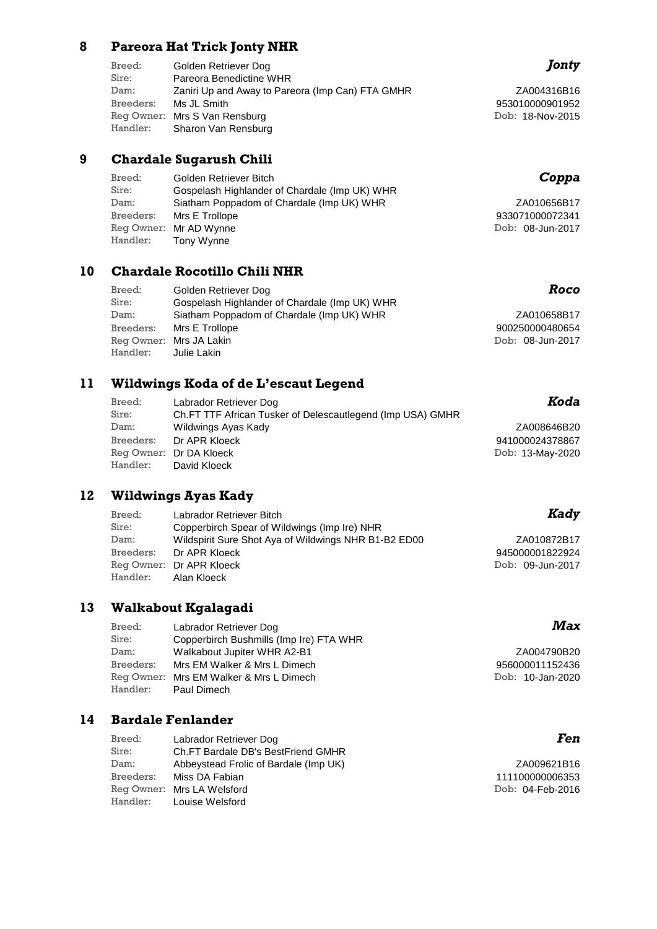#### **8 Pareora Hat Trick Jonty NHR**

| Breed:    | Golden Retriever Dog                             |
|-----------|--------------------------------------------------|
| Sire:     | Pareora Benedictine WHR                          |
| Dam:      | Zaniri Up and Away to Pareora (Imp Can) FTA GMHR |
| Breeders: | Ms JL Smith                                      |
|           | Reg Owner: Mrs S Van Rensburg                    |
| Handler:  | Sharon Van Rensburg                              |

#### **9 Chardale Sugarush Chili**

| Breed:    | Golden Retriever Bitch                        |   |
|-----------|-----------------------------------------------|---|
| Sire:     | Gospelash Highlander of Chardale (Imp UK) WHR |   |
| Dam:      | Siatham Poppadom of Chardale (Imp UK) WHR     |   |
| Breeders: | Mrs E Trollope                                | 9 |
|           | Reg Owner: Mr AD Wynne                        | D |
| Handler:  | Tony Wynne                                    |   |

### **10 Chardale Rocotillo Chili NHR**

| Breed:    | Golden Retriever Dog                          | Roco             |
|-----------|-----------------------------------------------|------------------|
| Sire:     | Gospelash Highlander of Chardale (Imp UK) WHR |                  |
| Dam:      | Siatham Poppadom of Chardale (Imp UK) WHR     | ZA010658B17      |
| Breeders: | Mrs E Trollope                                | 900250000480654  |
|           | Reg Owner: Mrs JA Lakin                       | Dob: 08-Jun-2017 |
| Handler:  | Julie Lakin                                   |                  |

### **11 Wildwings Koda of de L'escaut Legend**

| Breed:    | Labrador Retriever Dog                                     | Koda             |
|-----------|------------------------------------------------------------|------------------|
| Sire:     | Ch.FT TTF African Tusker of Delescautlegend (Imp USA) GMHR |                  |
| Dam:      | Wildwings Ayas Kady                                        | ZA008646B20      |
| Breeders: | Dr APR Kloeck                                              | 941000024378867  |
|           | Reg Owner: Dr DA Kloeck                                    | Dob: 13-May-2020 |
| Handler:  | David Kloeck                                               |                  |

### **12 Wildwings Ayas Kady**

| Breed:    | Labrador Retriever Bitch                             | Kady             |
|-----------|------------------------------------------------------|------------------|
| Sire:     | Copperbirch Spear of Wildwings (Imp Ire) NHR         |                  |
| Dam:      | Wildspirit Sure Shot Aya of Wildwings NHR B1-B2 ED00 | ZA010872B17      |
| Breeders: | Dr APR Kloeck                                        | 945000001822924  |
|           | Reg Owner: Dr APR Kloeck                             | Dob: 09-Jun-2017 |
| Handler:  | Alan Kloeck                                          |                  |

### **13 Walkabout Kgalagadi**

| Breed:    | Labrador Retriever Dog                  | Max              |
|-----------|-----------------------------------------|------------------|
| Sire:     | Copperbirch Bushmills (Imp Ire) FTA WHR |                  |
| Dam:      | Walkabout Jupiter WHR A2-B1             | ZA004790B20      |
| Breeders: | Mrs EM Walker & Mrs L Dimech            | 956000011152436  |
|           | Reg Owner: Mrs EM Walker & Mrs L Dimech | Dob: 10-Jan-2020 |
| Handler:  | Paul Dimech                             |                  |

## **14 Bardale Fenlander**

| Breed:    | Labrador Retriever Dog                |
|-----------|---------------------------------------|
| Sire:     | Ch.FT Bardale DB's BestFriend GMHR    |
| Dam:      | Abbeystead Frolic of Bardale (Imp UK) |
| Breeders: | Miss DA Fabian                        |
|           | Reg Owner: Mrs LA Welsford            |
| Handler:  | Louise Welsford                       |

## *Jonty*

ZA004316B16 Dob: 18-Nov-2015 953010000901952

## *Coppa*

| ZA010656B17      |
|------------------|
| 933071000072341  |
| Dob: 08-Jun-2017 |

| ZA010658B17      |
|------------------|
| 900250000480654  |
| Dob: 08-Jun-2017 |

| ZA010872B17      |
|------------------|
| 945000001822924  |
| Dob: 09-Jun-2017 |

### *Fen*

ZA009621B16 Dob: 04-Feb-2016 111100000006353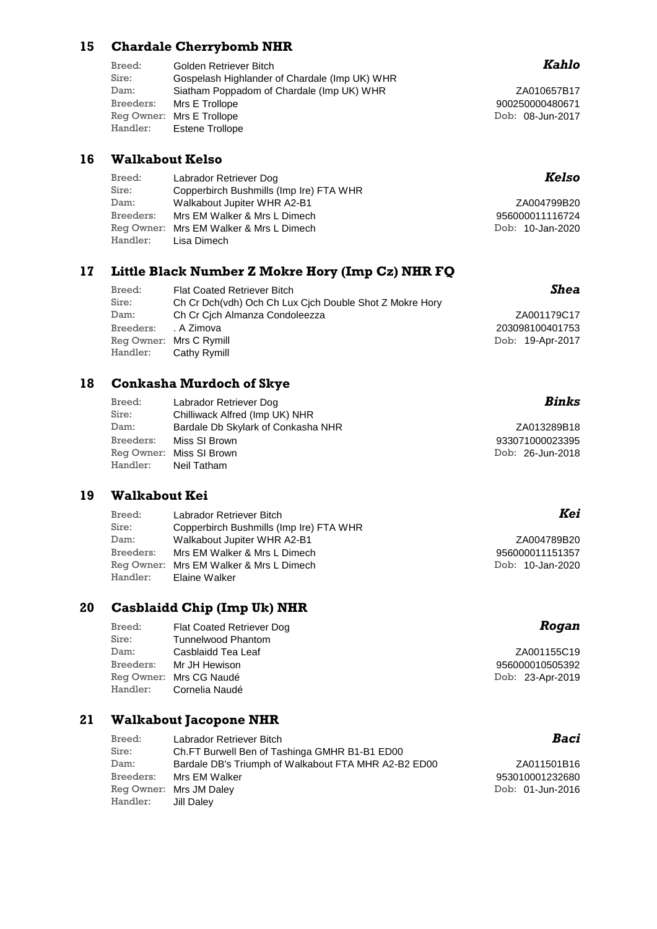#### **15 Chardale Cherrybomb NHR**

| Breed:    | Golden Retriever Bitch                        |
|-----------|-----------------------------------------------|
| Sire:     | Gospelash Highlander of Chardale (Imp UK) WHR |
| Dam:      | Siatham Poppadom of Chardale (Imp UK) WHR     |
| Breeders: | Mrs E Trollope                                |
|           | Reg Owner: Mrs E Trollope                     |
| Handler:  | <b>Estene Trollope</b>                        |

### **16 Walkabout Kelso**

| Breed:    | Labrador Retriever Dog                  | Kelso            |
|-----------|-----------------------------------------|------------------|
| Sire:     | Copperbirch Bushmills (Imp Ire) FTA WHR |                  |
| Dam:      | Walkabout Jupiter WHR A2-B1             | ZA004799B20      |
| Breeders: | Mrs EM Walker & Mrs L Dimech            | 956000011116724  |
|           | Reg Owner: Mrs EM Walker & Mrs L Dimech | Dob: 10-Jan-2020 |
| Handler:  | Lisa Dimech                             |                  |

#### **17 Little Black Number Z Mokre Hory (Imp Cz) NHR FQ**

| Breed:    | <b>Flat Coated Retriever Bitch</b>                      | Shea             |
|-----------|---------------------------------------------------------|------------------|
| Sire:     | Ch Cr Dch(vdh) Och Ch Lux Cich Double Shot Z Mokre Hory |                  |
| Dam:      | Ch Cr Cich Almanza Condoleezza                          | ZA001179C17      |
| Breeders: | . A Zimova                                              | 203098100401753  |
|           | Reg Owner: Mrs C Rymill                                 | Dob: 19-Apr-2017 |
| Handler:  | Cathy Rymill                                            |                  |

#### **18 Conkasha Murdoch of Skye**

| Breed:    | Labrador Retriever Dog             | Binks            |
|-----------|------------------------------------|------------------|
| Sire:     | Chilliwack Alfred (Imp UK) NHR     |                  |
| Dam:      | Bardale Db Skylark of Conkasha NHR | ZA013289B18      |
| Breeders: | Miss SI Brown                      | 933071000023395  |
|           | Reg Owner: Miss SI Brown           | Dob: 26-Jun-2018 |
| Handler:  | Neil Tatham                        |                  |

### **19 Walkabout Kei**

| Labrador Retriever Bitch                |                                         |
|-----------------------------------------|-----------------------------------------|
| Copperbirch Bushmills (Imp Ire) FTA WHR |                                         |
| Walkabout Jupiter WHR A2-B1             |                                         |
| Mrs EM Walker & Mrs L Dimech            |                                         |
|                                         |                                         |
| Elaine Walker                           |                                         |
|                                         | Reg Owner: Mrs EM Walker & Mrs L Dimech |

#### **20 Casblaidd Chip (Imp Uk) NHR**

| Breed:     | <b>Flat Coated Retriever Dog</b> |
|------------|----------------------------------|
| Sire:      | <b>Tunnelwood Phantom</b>        |
| Dam:       | Casblaidd Tea Leaf               |
| Breeders:  | Mr JH Hewison                    |
| Reg Owner: | Mrs CG Naudé                     |
| Handler:   | Cornelia Naudé                   |
|            |                                  |

#### **21 Walkabout Jacopone NHR**

| Breed:    | Labrador Retriever Bitch                             | Baci             |
|-----------|------------------------------------------------------|------------------|
| Sire:     | Ch.FT Burwell Ben of Tashinga GMHR B1-B1 ED00        |                  |
| Dam:      | Bardale DB's Triumph of Walkabout FTA MHR A2-B2 ED00 | ZA011501B16      |
| Breeders: | Mrs EM Walker                                        | 953010001232680  |
|           | Reg Owner: Mrs JM Daley                              | Dob: 01-Jun-2016 |
| Handler:  | Jill Dalev                                           |                  |

### *Kahlo*

ZA010657B17 Dob: 08-Jun-2017 900250000480671

## *Kelso*

### *Binks*

### *Kei*

ZA004789B20 Dob: 10-Jan-2020 956000011151357

### *Rogan*

ZA001155C19 Dob: 23-Apr-2019 956000010505392

### *Baci*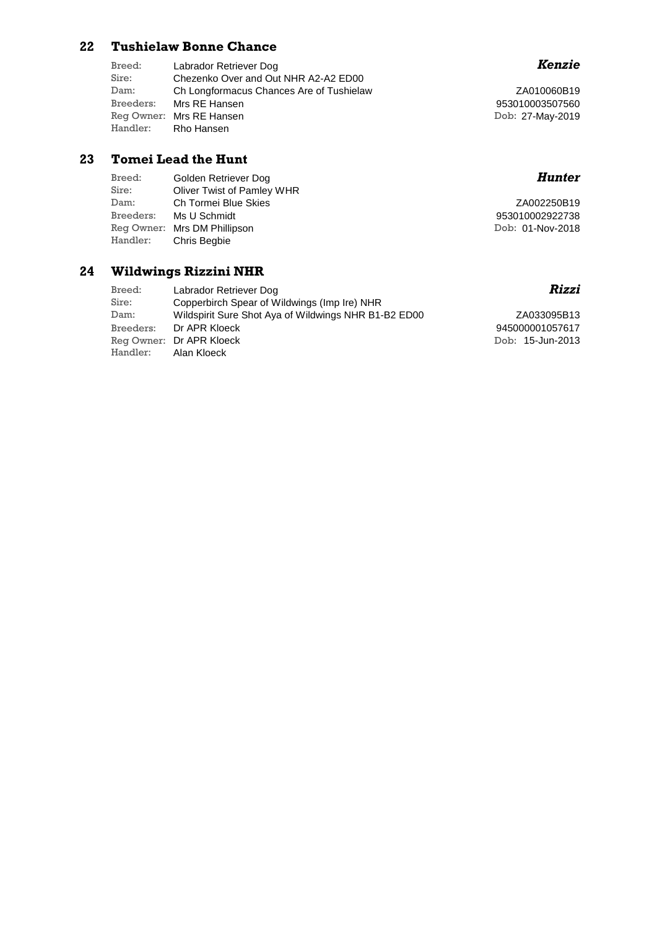#### **22 Tushielaw Bonne Chance**

| Breed:    | Labrador Retriever Dog                   |
|-----------|------------------------------------------|
| Sire:     | Chezenko Over and Out NHR A2-A2 ED00     |
| Dam:      | Ch Longformacus Chances Are of Tushielaw |
| Breeders: | Mrs RE Hansen                            |
|           | Reg Owner: Mrs RE Hansen                 |
| Handler:  | Rho Hansen                               |
|           |                                          |

#### **23 Tomei Lead the Hunt**

| Breed:    | Golden Retriever Dog         | Hunter           |
|-----------|------------------------------|------------------|
| Sire:     | Oliver Twist of Pamley WHR   |                  |
| Dam:      | Ch Tormei Blue Skies         | ZA002250B19      |
| Breeders: | Ms U Schmidt                 | 953010002922738  |
|           | Reg Owner: Mrs DM Phillipson | Dob: 01-Nov-2018 |
| Handler:  | Chris Beabie                 |                  |

## **24 Wildwings Rizzini NHR**

| Breed:               | Labrador Retriever Dog                               |
|----------------------|------------------------------------------------------|
| Sire:                | Copperbirch Spear of Wildwings (Imp Ire) NHR         |
| Dam:                 | Wildspirit Sure Shot Aya of Wildwings NHR B1-B2 ED00 |
|                      | Breeders: Dr APR Kloeck                              |
|                      | Reg Owner: Dr APR Kloeck                             |
| Handler: Alan Kloeck |                                                      |

## *Kenzie*

ZA010060B19 Dob: 27-May-2019 953010003507560

## *Rizzi*

ZA033095B13 Dob: 15-Jun-2013 945000001057617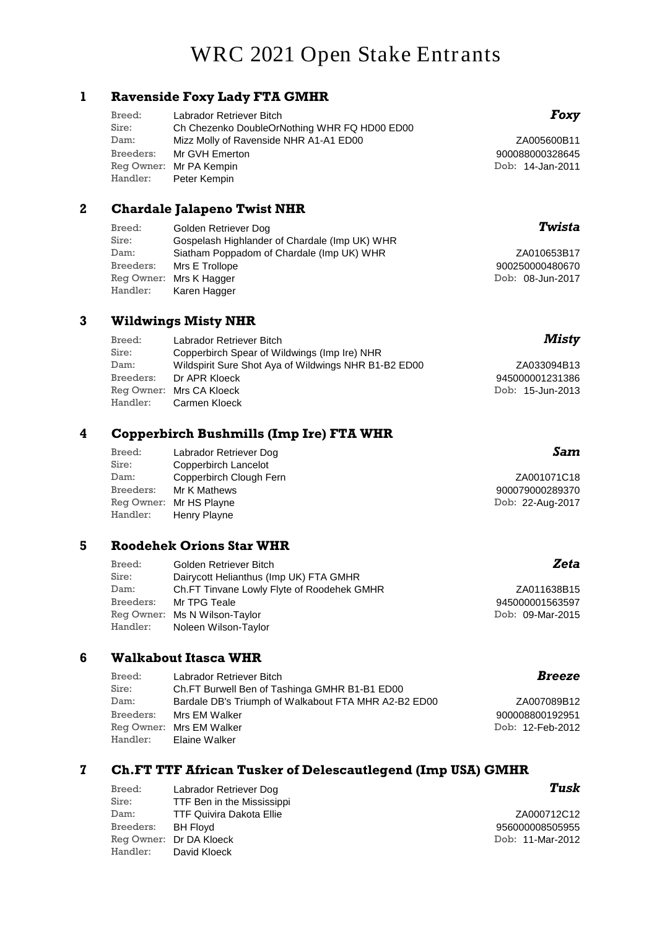# **WRC 2021 Open Stake Entrants**

#### **1 Ravenside Foxy Lady FTA GMHR**

| Breed: | Labrador Retriever Bitch                     |
|--------|----------------------------------------------|
| Sire:  | Ch Chezenko DoubleOrNothing WHR FQ HD00 ED00 |
| Dam:   | Mizz Molly of Ravenside NHR A1-A1 ED00       |
|        | Breeders: Mr GVH Emerton                     |
|        | Reg Owner: Mr PA Kempin                      |
|        | Handler: Peter Kempin                        |
|        |                                              |

#### **2 Chardale Jalapeno Twist NHR**

| Breed:    | Golden Retriever Dog                          | Twist           |
|-----------|-----------------------------------------------|-----------------|
| Sire:     | Gospelash Highlander of Chardale (Imp UK) WHR |                 |
| Dam:      | Siatham Poppadom of Chardale (Imp UK) WHR     | ZA010653B1      |
| Breeders: | Mrs E Trollope                                | 90025000048067  |
|           | Reg Owner: Mrs K Hagger                       | Dob: 08-Jun-201 |
| Handler:  | Karen Hagger                                  |                 |

#### **3 Wildwings Misty NHR**

| Breed:    | Labrador Retriever Bitch                             | Misty            |
|-----------|------------------------------------------------------|------------------|
| Sire:     | Copperbirch Spear of Wildwings (Imp Ire) NHR         |                  |
| Dam:      | Wildspirit Sure Shot Aya of Wildwings NHR B1-B2 ED00 | ZA033094B13      |
| Breeders: | Dr APR Kloeck                                        | 945000001231386  |
|           | Reg Owner: Mrs CA Kloeck                             | Dob: 15-Jun-2013 |
| Handler:  | Carmen Kloeck                                        |                  |

### **4 Copperbirch Bushmills (Imp Ire) FTA WHR**

| Labrador Retriever Dog  | Sam              |
|-------------------------|------------------|
| Copperbirch Lancelot    |                  |
| Copperbirch Clough Fern | ZA001071C18      |
| Mr K Mathews            | 900079000289370  |
| Reg Owner: Mr HS Playne | Dob: 22-Aug-2017 |
| Henry Playne            |                  |
|                         |                  |

#### **5 Roodehek Orions Star WHR**

| Breed:    | Golden Retriever Bitch                     | Zeta             |
|-----------|--------------------------------------------|------------------|
| Sire:     | Dairycott Helianthus (Imp UK) FTA GMHR     |                  |
| Dam:      | Ch.FT Tinvane Lowly Flyte of Roodehek GMHR | ZA011638B15      |
| Breeders: | Mr TPG Teale                               | 945000001563597  |
|           | Reg Owner: Ms N Wilson-Taylor              | Dob: 09-Mar-2015 |
| Handler:  | Noleen Wilson-Taylor                       |                  |
|           |                                            |                  |

#### **6 Walkabout Itasca WHR**

| Breed:    | Labrador Retriever Bitch                             |
|-----------|------------------------------------------------------|
| Sire:     | Ch.FT Burwell Ben of Tashinga GMHR B1-B1 ED00        |
| Dam:      | Bardale DB's Triumph of Walkabout FTA MHR A2-B2 ED00 |
| Breeders: | Mrs EM Walker                                        |
|           | Reg Owner: Mrs EM Walker                             |
|           | Handler: Elaine Walker                               |

#### **7 Ch.FT TTF African Tusker of Delescautlegend (Imp USA) GMHR**

| Breed:    | Labrador Retriever Dog          |
|-----------|---------------------------------|
| Sire:     | TTF Ben in the Mississippi      |
| Dam:      | <b>TTF Quivira Dakota Ellie</b> |
| Breeders: | <b>BH Flovd</b>                 |
|           | Reg Owner: Dr DA Kloeck         |
| Handler:  | David Kloeck                    |

## *Tusk*

ZA007089B12

*Breeze*

Dob: 12-Feb-2012

900008800192951

ZA000712C12 Dob: 11-Mar-2012 956000008505955

## *Foxy*

ZA005600B11 Dob: 14-Jan-2011 900088000328645

### *Twista*

ZA010653B17 Dob: 08-Jun-2017 900250000480670

### *Zeta*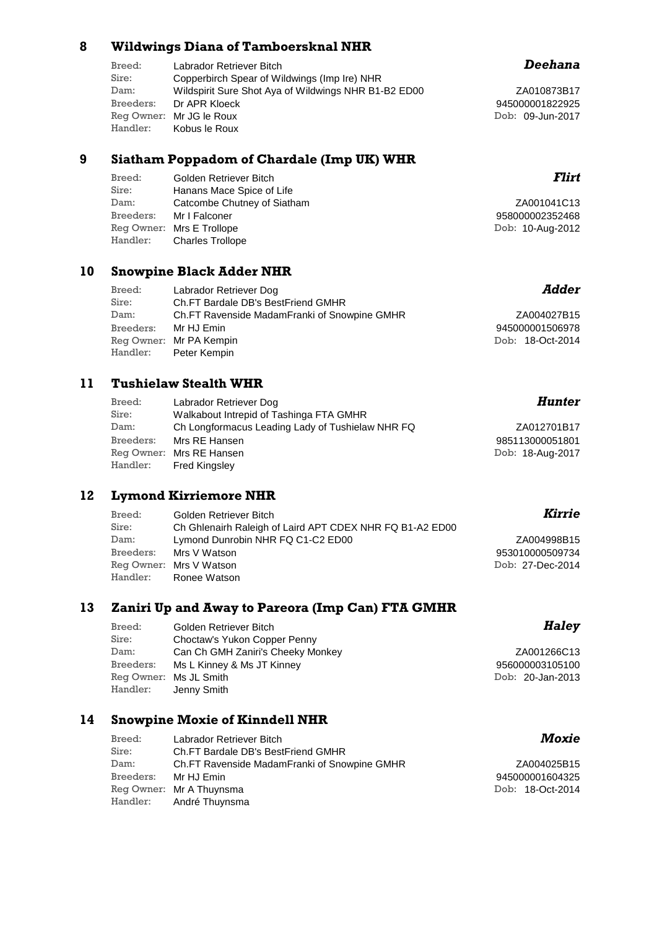#### **8 Wildwings Diana of Tamboersknal NHR**

| Breed:    | Labrador Retriever Bitch                             |
|-----------|------------------------------------------------------|
| Sire:     | Copperbirch Spear of Wildwings (Imp Ire) NHR         |
| Dam:      | Wildspirit Sure Shot Aya of Wildwings NHR B1-B2 ED00 |
| Breeders: | Dr APR Kloeck                                        |
|           | Reg Owner: Mr JG le Roux                             |
| Handler:  | Kobus le Roux                                        |

#### **9 Siatham Poppadom of Chardale (Imp UK) WHR**

| Breed:    | Golden Retriever Bitch      | Flirt            |
|-----------|-----------------------------|------------------|
| Sire:     | Hanans Mace Spice of Life   |                  |
| Dam:      | Catcombe Chutney of Siatham | ZA001041C13      |
| Breeders: | Mr I Falconer               | 958000002352468  |
|           | Reg Owner: Mrs E Trollope   | Dob: 10-Aug-2012 |
| Handler:  | <b>Charles Trollope</b>     |                  |

### **10 Snowpine Black Adder NHR**

| Breed:    | Labrador Retriever Dog                       | Adder            |
|-----------|----------------------------------------------|------------------|
| Sire:     | Ch.FT Bardale DB's BestFriend GMHR           |                  |
| Dam:      | Ch.FT Ravenside MadamFranki of Snowpine GMHR | ZA004027B15      |
| Breeders: | Mr HJ Emin                                   | 945000001506978  |
|           | Reg Owner: Mr PA Kempin                      | Dob: 18-Oct-2014 |
|           | Handler: Peter Kempin                        |                  |

### **11 Tushielaw Stealth WHR**

| Breed:    | Labrador Retriever Dog                           | Hunter           |
|-----------|--------------------------------------------------|------------------|
| Sire:     | Walkabout Intrepid of Tashinga FTA GMHR          |                  |
| Dam:      | Ch Longformacus Leading Lady of Tushielaw NHR FQ | ZA012701B17      |
| Breeders: | Mrs RE Hansen                                    | 985113000051801  |
|           | Reg Owner: Mrs RE Hansen                         | Dob: 18-Aug-2017 |
| Handler:  | <b>Fred Kingsley</b>                             |                  |

## **12 Lymond Kirriemore NHR**

| Breed:    | Golden Retriever Bitch                                   | Kirrie           |
|-----------|----------------------------------------------------------|------------------|
| Sire:     | Ch Ghlenairh Raleigh of Laird APT CDEX NHR FQ B1-A2 ED00 |                  |
| Dam:      | Lymond Dunrobin NHR FQ C1-C2 ED00                        | ZA004998B15      |
| Breeders: | Mrs V Watson                                             | 953010000509734  |
|           | Reg Owner: Mrs V Watson                                  | Dob: 27-Dec-2014 |
|           | Handler: Ronee Watson                                    |                  |

#### **13 Zaniri Up and Away to Pareora (Imp Can) FTA GMHR**

| Breed:    | Golden Retriever Bitch            | H           |
|-----------|-----------------------------------|-------------|
| Sire:     | Choctaw's Yukon Copper Penny      |             |
| Dam:      | Can Ch GMH Zaniri's Cheeky Monkey | ZA00126     |
| Breeders: | Ms L Kinney & Ms JT Kinney        | 9560000031  |
|           | Reg Owner: Ms JL Smith            | Dob: 20-Jan |
| Handler:  | Jenny Smith                       |             |

### **14 Snowpine Moxie of Kinndell NHR**

| Breed:               | Labrador Retriever Bitch                     |
|----------------------|----------------------------------------------|
| Sire:                | Ch.FT Bardale DB's BestFriend GMHR           |
| Dam:                 | Ch.FT Ravenside MadamFranki of Snowpine GMHR |
| Breeders: Mr HJ Emin |                                              |
|                      | Reg Owner: Mr A Thuynsma                     |
|                      | Handler: André Thuynsma                      |

### *Deehana*

ZA010873B17 Dob: 09-Jun-2017 945000001822925

| ZA004027B15      |
|------------------|
| 945000001506978  |
| Dob: 18-Oct-2014 |

### *Hunter*

### *Haley*

66C13 n-2013 05100

### *Moxie*

| ZA004025B15      |
|------------------|
| 945000001604325  |
| Dob: 18-Oct-2014 |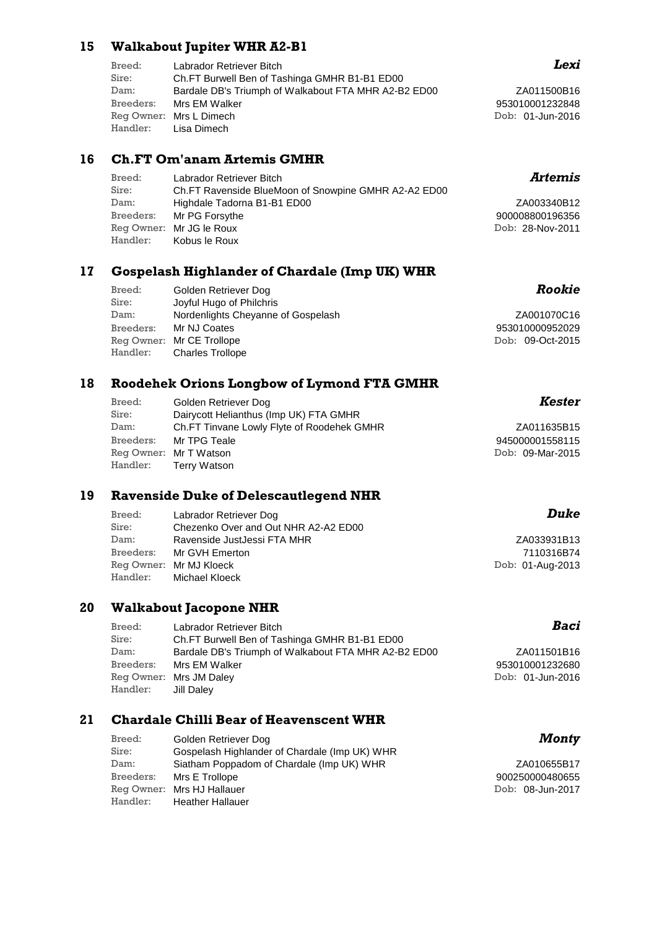#### **15 Walkabout Jupiter WHR A2-B1**

| Breed:    | Labrador Retriever Bitch                             |
|-----------|------------------------------------------------------|
| Sire:     | Ch.FT Burwell Ben of Tashinga GMHR B1-B1 ED00        |
| Dam:      | Bardale DB's Triumph of Walkabout FTA MHR A2-B2 ED00 |
| Breeders: | Mrs EM Walker                                        |
|           | Reg Owner: Mrs L Dimech                              |
|           | Handler: Lisa Dimech                                 |
|           |                                                      |

#### **16 Ch.FT Om'anam Artemis GMHR**

| Breed: | Labrador Retriever Bitch                             |
|--------|------------------------------------------------------|
| Sire:  | Ch.FT Ravenside BlueMoon of Snowpine GMHR A2-A2 ED00 |
| Dam:   | Highdale Tadorna B1-B1 ED00                          |
|        | Breeders: Mr PG Forsythe                             |
|        | Reg Owner: Mr JG le Roux                             |
|        | Handler: Kobus le Roux                               |

#### **17 Gospelash Highlander of Chardale (Imp UK) WHR**

| Breed:<br>Sire: | Golden Retriever Dog<br>Joyful Hugo of Philchris | Rookie           |
|-----------------|--------------------------------------------------|------------------|
| Dam:            | Nordenlights Cheyanne of Gospelash               | ZA001070C16      |
| Breeders:       | Mr NJ Coates                                     | 953010000952029  |
|                 | Reg Owner: Mr CE Trollope                        | Dob: 09-Oct-2015 |
| Handler:        | <b>Charles Trollope</b>                          |                  |

#### **18 Roodehek Orions Longbow of Lymond FTA GMHR**

| Breed: | Golden Retriever Dog                       |     |
|--------|--------------------------------------------|-----|
| Sire:  | Dairycott Helianthus (Imp UK) FTA GMHR     |     |
| Dam:   | Ch.FT Tinvane Lowly Flyte of Roodehek GMHR |     |
|        | Breeders: Mr TPG Teale                     | 945 |
|        | Reg Owner: Mr T Watson                     | Dob |
|        | Handler: Terry Watson                      |     |

#### **19 Ravenside Duke of Delescautlegend NHR**

| Breed:    | Labrador Retriever Dog               | Duke             |
|-----------|--------------------------------------|------------------|
| Sire:     | Chezenko Over and Out NHR A2-A2 ED00 |                  |
| Dam:      | Ravenside JustJessi FTA MHR          | ZA033931B13      |
| Breeders: | Mr GVH Emerton                       | 7110316B74       |
|           | Reg Owner: Mr MJ Kloeck              | Dob: 01-Aug-2013 |
| Handler:  | Michael Kloeck                       |                  |

#### **20 Walkabout Jacopone NHR**

| Breed:    | Labrador Retriever Bitch                             | Baci             |
|-----------|------------------------------------------------------|------------------|
| Sire:     | Ch.FT Burwell Ben of Tashinga GMHR B1-B1 ED00        |                  |
| Dam:      | Bardale DB's Triumph of Walkabout FTA MHR A2-B2 ED00 | ZA011501B16      |
| Breeders: | Mrs EM Walker                                        | 953010001232680  |
|           | Reg Owner: Mrs JM Daley                              | Dob: 01-Jun-2016 |
| Handler:  | Jill Dalev                                           |                  |

### **21 Chardale Chilli Bear of Heavenscent WHR**

| Breed:    | Golden Retriever Dog                          |
|-----------|-----------------------------------------------|
| Sire:     | Gospelash Highlander of Chardale (Imp UK) WHR |
| Dam:      | Siatham Poppadom of Chardale (Imp UK) WHR     |
| Breeders: | Mrs E Trollope                                |
|           | Reg Owner: Mrs HJ Hallauer                    |
| Handler:  | <b>Heather Hallauer</b>                       |

### *Lexi*

ZA011500B16 Dob: 01-Jun-2016 953010001232848

## *Artemis*

ZA003340B12 Dob: 28-Nov-2011 900008800196356

| ZA001070C16      |
|------------------|
| 953010000952029  |
| Dob: 09-Oct-2015 |

### *Kester*

ZA011635B15 b: 09-Mar-2015 945000001558115

### *Baci*

### *Monty*

ZA010655B17 Dob: 08-Jun-2017 900250000480655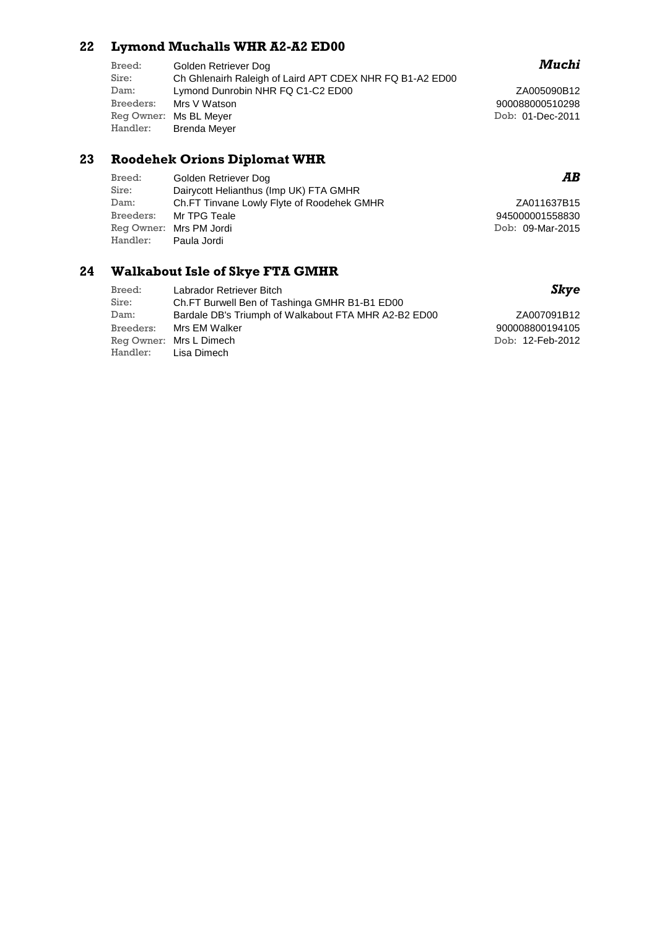### **22 Lymond Muchalls WHR A2-A2 ED00**

| Breed:<br>Sire: | Golden Retriever Dog<br>Ch Ghlenairh Raleigh of Laird APT CDEX NHR FQ B1-A2 ED00 |
|-----------------|----------------------------------------------------------------------------------|
| Dam:            | Lymond Dunrobin NHR FQ C1-C2 ED00                                                |
| Breeders:       | Mrs V Watson                                                                     |
|                 | Reg Owner: Ms BL Meyer                                                           |
| Handler:        | <b>Brenda Meyer</b>                                                              |
|                 |                                                                                  |

### **23 Roodehek Orions Diplomat WHR**

| Breed:   | Golden Retriever Dog                       |
|----------|--------------------------------------------|
| Sire:    | Dairycott Helianthus (Imp UK) FTA GMHR     |
| Dam:     | Ch.FT Tinvane Lowly Flyte of Roodehek GMHR |
|          | Breeders: Mr TPG Teale                     |
|          | Reg Owner: Mrs PM Jordi                    |
| Handler: | Paula Jordi                                |

### **24 Walkabout Isle of Skye FTA GMHR**

| Breed:    | Labrador Retriever Bitch                             | Skye             |
|-----------|------------------------------------------------------|------------------|
| Sire:     | Ch.FT Burwell Ben of Tashinga GMHR B1-B1 ED00        |                  |
| Dam:      | Bardale DB's Triumph of Walkabout FTA MHR A2-B2 ED00 | ZA007091B12      |
| Breeders: | Mrs EM Walker                                        | 900008800194105  |
|           | Reg Owner: Mrs L Dimech                              | Dob: 12-Feb-2012 |
|           | Handler: Lisa Dimech                                 |                  |

### *Muchi*

ZA005090B12 Dob: 01-Dec-2011 900088000510298

### *AB*

| ZA011637B15      |
|------------------|
| 945000001558830  |
| Dob: 09-Mar-2015 |

### *Skye*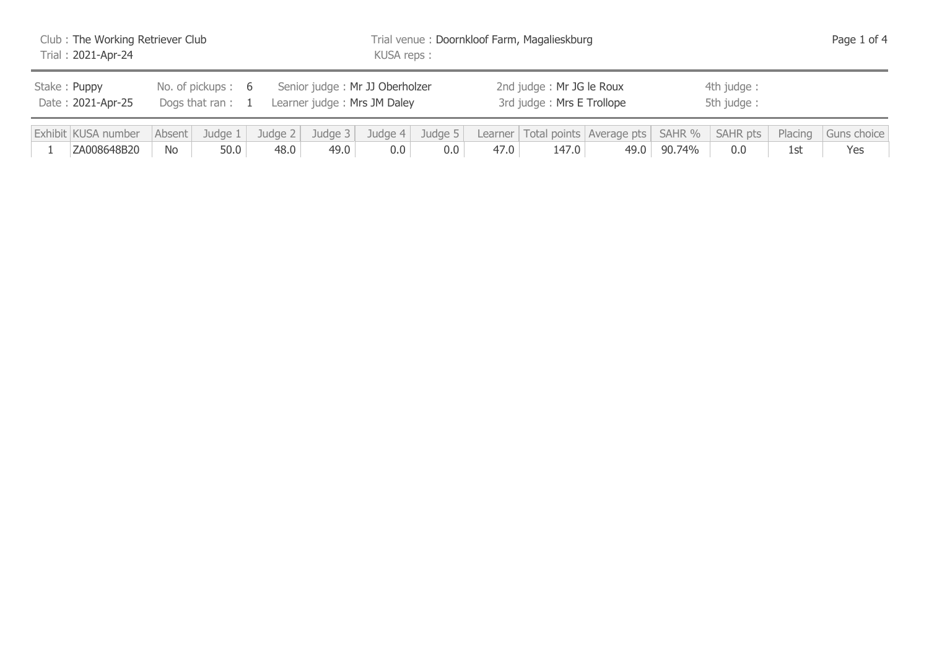| Club: The Working Retriever Club<br>Trial: 2021-Apr-24                       |  |  |  |                                                               |                 | Trial venue: Doornkloof Farm, Magalieskburg<br>KUSA reps: |                |      |                                                       |                                                       |                          |                 |                | Page 1 of 4        |  |  |
|------------------------------------------------------------------------------|--|--|--|---------------------------------------------------------------|-----------------|-----------------------------------------------------------|----------------|------|-------------------------------------------------------|-------------------------------------------------------|--------------------------|-----------------|----------------|--------------------|--|--|
| Stake: Puppy<br>No. of pickups: 6<br>Date: 2021-Apr-25<br>Dogs that ran: $1$ |  |  |  | Senior judge: Mr JJ Oberholzer<br>Learner judge: Mrs JM Daley |                 |                                                           |                |      | 2nd judge: Mr JG le Roux<br>3rd judge: Mrs E Trollope |                                                       | 4th judge:<br>5th judge: |                 |                |                    |  |  |
| Exhibit KUSA number<br>Judge 1<br>Absent<br>ZA008648B20<br>50.0<br>No        |  |  |  | Judge $2 \mid$<br>48.0                                        | Judge 3<br>49.0 | Judge $4$<br>0.0                                          | Judge 5<br>0.0 | 47.0 | 147.0                                                 | Learner   Total points   Average pts   SAHR %<br>49.0 | 90.74%                   | SAHR pts<br>0.0 | Placing<br>1st | Guns choice<br>Yes |  |  |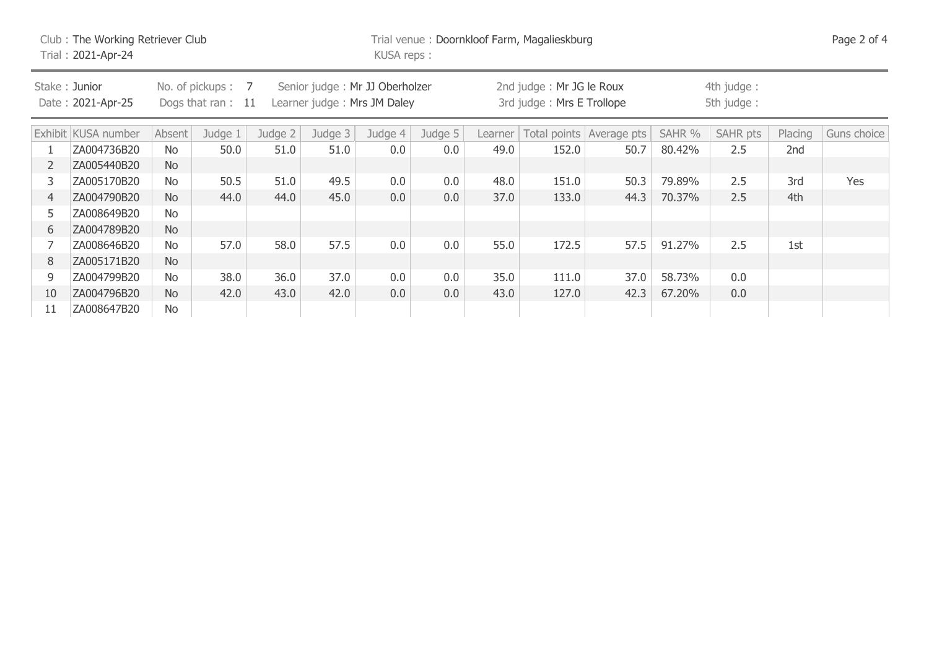| Club: The Working Retriever Club<br>Trial: 2021-Apr-24 |                                    |           |                                          |         |                                                               |         | Trial venue: Doornkloof Farm, Magalieskburg<br>KUSA reps: |         |                                                       |                          |                          |          |         |             |  |
|--------------------------------------------------------|------------------------------------|-----------|------------------------------------------|---------|---------------------------------------------------------------|---------|-----------------------------------------------------------|---------|-------------------------------------------------------|--------------------------|--------------------------|----------|---------|-------------|--|
|                                                        | Stake: Junior<br>Date: 2021-Apr-25 |           | No. of pickups: 7<br>Dogs that ran: $11$ |         | Senior judge: Mr JJ Oberholzer<br>Learner judge: Mrs JM Daley |         |                                                           |         | 2nd judge: Mr JG le Roux<br>3rd judge: Mrs E Trollope |                          | 4th judge:<br>5th judge: |          |         |             |  |
|                                                        | Exhibit KUSA number                | Absent    | Judge 1                                  | Judge 2 | Judge 3                                                       | Judge 4 | Judge 5                                                   | Learner |                                                       | Total points Average pts | SAHR %                   | SAHR pts | Placing | Guns choice |  |
|                                                        | ZA004736B20                        | No        | 50.0                                     | 51.0    | 51.0                                                          | 0.0     | 0.0                                                       | 49.0    | 152.0                                                 | 50.7                     | 80.42%                   | 2.5      | 2nd     |             |  |
| $\overline{2}$                                         | ZA005440B20                        | <b>No</b> |                                          |         |                                                               |         |                                                           |         |                                                       |                          |                          |          |         |             |  |
| 3                                                      | ZA005170B20                        | No        | 50.5                                     | 51.0    | 49.5                                                          | 0.0     | 0.0                                                       | 48.0    | 151.0                                                 | 50.3                     | 79.89%                   | 2.5      | 3rd     | Yes         |  |
| $\overline{4}$                                         | ZA004790B20                        | <b>No</b> | 44.0                                     | 44.0    | 45.0                                                          | 0.0     | 0.0                                                       | 37.0    | 133.0                                                 | 44.3                     | 70.37%                   | 2.5      | 4th     |             |  |
| 5.                                                     | ZA008649B20                        | No        |                                          |         |                                                               |         |                                                           |         |                                                       |                          |                          |          |         |             |  |
| 6                                                      | ZA004789B20                        | <b>No</b> |                                          |         |                                                               |         |                                                           |         |                                                       |                          |                          |          |         |             |  |
|                                                        | ZA008646B20                        | No        | 57.0                                     | 58.0    | 57.5                                                          | 0.0     | 0.0                                                       | 55.0    | 172.5                                                 | 57.5                     | 91.27%                   | 2.5      | 1st     |             |  |
| 8                                                      | ZA005171B20                        | <b>No</b> |                                          |         |                                                               |         |                                                           |         |                                                       |                          |                          |          |         |             |  |
| 9                                                      | ZA004799B20                        | No        | 38.0                                     | 36.0    | 37.0                                                          | 0.0     | 0.0                                                       | 35.0    | 111.0                                                 | 37.0                     | 58.73%                   | 0.0      |         |             |  |
| 10                                                     | ZA004796B20                        | <b>No</b> | 42.0                                     | 43.0    | 42.0                                                          | 0.0     | 0.0                                                       | 43.0    | 127.0                                                 | 42.3                     | 67.20%                   | 0.0      |         |             |  |
| 11                                                     | ZA008647B20                        | No        |                                          |         |                                                               |         |                                                           |         |                                                       |                          |                          |          |         |             |  |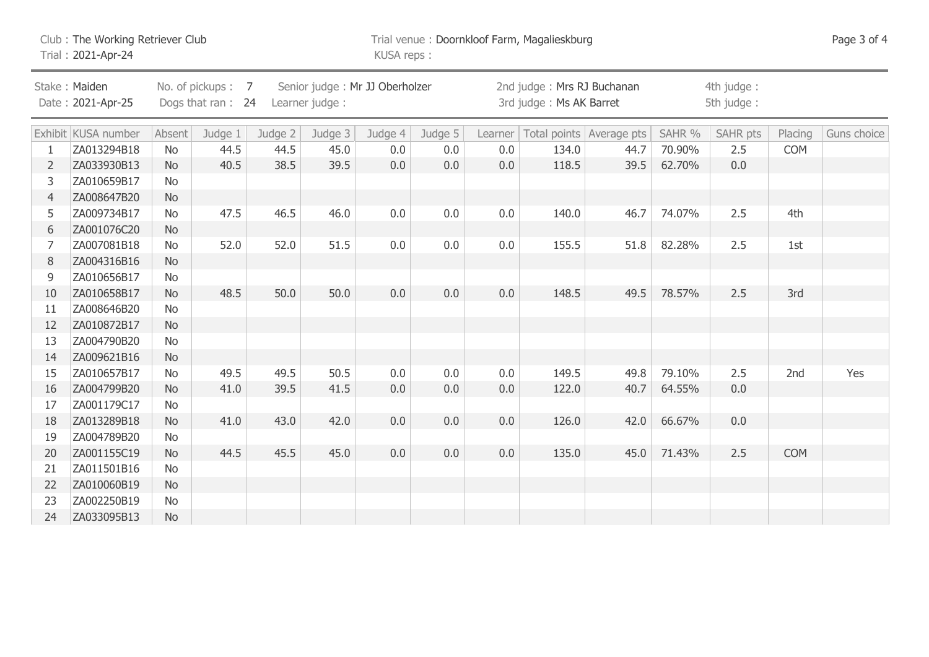|                                                                                                                                   | Club: The Working Retriever Club<br>Trial: 2021-Apr-24 |           |         |         |         |         | Trial venue: Doornkloof Farm, Magalieskburg<br>KUSA reps: |     |       |                                      |        |                          |            |             |  |
|-----------------------------------------------------------------------------------------------------------------------------------|--------------------------------------------------------|-----------|---------|---------|---------|---------|-----------------------------------------------------------|-----|-------|--------------------------------------|--------|--------------------------|------------|-------------|--|
| No. of pickups: 7<br>Senior judge: Mr JJ Oberholzer<br>Stake: Maiden<br>Date: 2021-Apr-25<br>Dogs that ran: 24<br>Learner judge : |                                                        |           |         |         |         |         | 2nd judge: Mrs RJ Buchanan<br>3rd judge: Ms AK Barret     |     |       |                                      |        | 4th judge:<br>5th judge: |            |             |  |
|                                                                                                                                   | Exhibit KUSA number                                    | Absent    | Judge 1 | Judge 2 | Judge 3 | Judge 4 | Judge 5                                                   |     |       | Learner   Total points   Average pts | SAHR % | <b>SAHR pts</b>          | Placing    | Guns choice |  |
|                                                                                                                                   | ZA013294B18                                            | <b>No</b> | 44.5    | 44.5    | 45.0    | 0.0     | 0.0                                                       | 0.0 | 134.0 | 44.7                                 | 70.90% | 2.5                      | <b>COM</b> |             |  |
| $\overline{2}$                                                                                                                    | ZA033930B13                                            | <b>No</b> | 40.5    | 38.5    | 39.5    | 0.0     | 0.0                                                       | 0.0 | 118.5 | 39.5                                 | 62.70% | 0.0                      |            |             |  |
| 3                                                                                                                                 | ZA010659B17                                            | No        |         |         |         |         |                                                           |     |       |                                      |        |                          |            |             |  |
| $\overline{4}$                                                                                                                    | ZA008647B20                                            | <b>No</b> |         |         |         |         |                                                           |     |       |                                      |        |                          |            |             |  |
| 5                                                                                                                                 | ZA009734B17                                            | No        | 47.5    | 46.5    | 46.0    | 0.0     | 0.0                                                       | 0.0 | 140.0 | 46.7                                 | 74.07% | 2.5                      | 4th        |             |  |
| 6                                                                                                                                 | ZA001076C20                                            | <b>No</b> |         |         |         |         |                                                           |     |       |                                      |        |                          |            |             |  |
| 7                                                                                                                                 | ZA007081B18                                            | <b>No</b> | 52.0    | 52.0    | 51.5    | 0.0     | 0.0                                                       | 0.0 | 155.5 | 51.8                                 | 82.28% | 2.5                      | 1st        |             |  |
| 8                                                                                                                                 | ZA004316B16                                            | <b>No</b> |         |         |         |         |                                                           |     |       |                                      |        |                          |            |             |  |
| 9                                                                                                                                 | ZA010656B17                                            | <b>No</b> |         |         |         |         |                                                           |     |       |                                      |        |                          |            |             |  |
| 10                                                                                                                                | ZA010658B17                                            | <b>No</b> | 48.5    | 50.0    | 50.0    | 0.0     | 0.0                                                       | 0.0 | 148.5 | 49.5                                 | 78.57% | 2.5                      | 3rd        |             |  |
| 11                                                                                                                                | ZA008646B20                                            | <b>No</b> |         |         |         |         |                                                           |     |       |                                      |        |                          |            |             |  |
| 12                                                                                                                                | ZA010872B17                                            | <b>No</b> |         |         |         |         |                                                           |     |       |                                      |        |                          |            |             |  |
| 13                                                                                                                                | ZA004790B20                                            | <b>No</b> |         |         |         |         |                                                           |     |       |                                      |        |                          |            |             |  |
| 14                                                                                                                                | ZA009621B16                                            | <b>No</b> |         |         |         |         |                                                           |     |       |                                      |        |                          |            |             |  |
| 15                                                                                                                                | ZA010657B17                                            | No        | 49.5    | 49.5    | 50.5    | 0.0     | 0.0                                                       | 0.0 | 149.5 | 49.8                                 | 79.10% | 2.5                      | 2nd        | Yes         |  |
| 16                                                                                                                                | ZA004799B20                                            | <b>No</b> | 41.0    | 39.5    | 41.5    | 0.0     | 0.0                                                       | 0.0 | 122.0 | 40.7                                 | 64.55% | 0.0                      |            |             |  |
| 17                                                                                                                                | ZA001179C17                                            | <b>No</b> |         |         |         |         |                                                           |     |       |                                      |        |                          |            |             |  |
| 18                                                                                                                                | ZA013289B18                                            | <b>No</b> | 41.0    | 43.0    | 42.0    | 0.0     | 0.0                                                       | 0.0 | 126.0 | 42.0                                 | 66.67% | 0.0                      |            |             |  |
| 19                                                                                                                                | ZA004789B20                                            | No        |         |         |         |         |                                                           |     |       |                                      |        |                          |            |             |  |
| 20                                                                                                                                | ZA001155C19                                            | <b>No</b> | 44.5    | 45.5    | 45.0    | 0.0     | 0.0                                                       | 0.0 | 135.0 | 45.0                                 | 71.43% | 2.5                      | <b>COM</b> |             |  |
| 21                                                                                                                                | ZA011501B16                                            | <b>No</b> |         |         |         |         |                                                           |     |       |                                      |        |                          |            |             |  |
| 22                                                                                                                                | ZA010060B19                                            | <b>No</b> |         |         |         |         |                                                           |     |       |                                      |        |                          |            |             |  |
| 23                                                                                                                                | ZA002250B19                                            | <b>No</b> |         |         |         |         |                                                           |     |       |                                      |        |                          |            |             |  |
| 24                                                                                                                                | ZA033095B13                                            | <b>No</b> |         |         |         |         |                                                           |     |       |                                      |        |                          |            |             |  |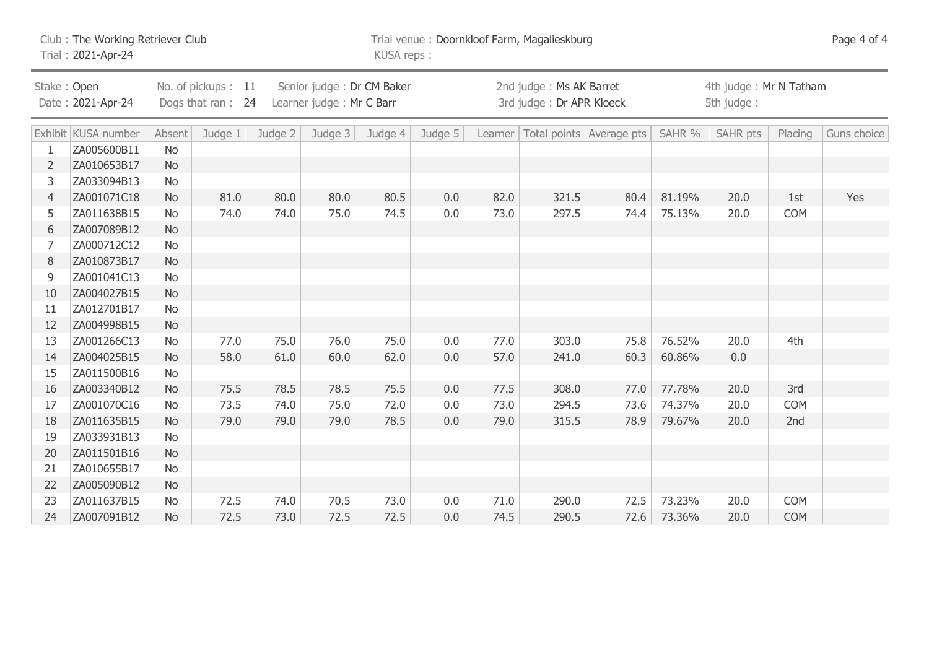| Club: The Working Retriever Club<br>Trial: 2021-Apr-24                                                                               |                     |           |         |           |         | Trial venue: Doornkloof Farm, Magalieskburg<br>KUSA reps: |                                                     |      |       |                                      |        |          | Page 4 of 4 |             |
|--------------------------------------------------------------------------------------------------------------------------------------|---------------------|-----------|---------|-----------|---------|-----------------------------------------------------------|-----------------------------------------------------|------|-------|--------------------------------------|--------|----------|-------------|-------------|
| No. of pickups: 11<br>Senior judge: Dr CM Baker<br>Stake: Open<br>Date: 2021-Apr-24<br>Dogs that ran: 24<br>Learner judge: Mr C Barr |                     |           |         |           |         |                                                           | 2nd judge: Ms AK Barret<br>3rd judge: Dr APR Kloeck |      |       | 4th judge: Mr N Tatham<br>5th judge: |        |          |             |             |
|                                                                                                                                      | Exhibit KUSA number | Absent    | Judge 1 | Judge $2$ | Judge 3 | Judge 4                                                   | Judge 5                                             |      |       | Learner   Total points   Average pts | SAHR % | SAHR pts | Placing     | Guns choice |
|                                                                                                                                      | ZA005600B11         | <b>No</b> |         |           |         |                                                           |                                                     |      |       |                                      |        |          |             |             |
| $\overline{2}$                                                                                                                       | ZA010653B17         | <b>No</b> |         |           |         |                                                           |                                                     |      |       |                                      |        |          |             |             |
| 3                                                                                                                                    | ZA033094B13         | <b>No</b> |         |           |         |                                                           |                                                     |      |       |                                      |        |          |             |             |
| 4                                                                                                                                    | ZA001071C18         | <b>No</b> | 81.0    | 80.0      | 80.0    | 80.5                                                      | 0.0                                                 | 82.0 | 321.5 | 80.4                                 | 81.19% | 20.0     | 1st         | Yes         |
| 5                                                                                                                                    | ZA011638B15         | <b>No</b> | 74.0    | 74.0      | 75.0    | 74.5                                                      | 0.0                                                 | 73.0 | 297.5 | 74.4                                 | 75.13% | 20.0     | <b>COM</b>  |             |
| 6                                                                                                                                    | ZA007089B12         | <b>No</b> |         |           |         |                                                           |                                                     |      |       |                                      |        |          |             |             |
| 7                                                                                                                                    | ZA000712C12         | <b>No</b> |         |           |         |                                                           |                                                     |      |       |                                      |        |          |             |             |
| 8                                                                                                                                    | ZA010873B17         | <b>No</b> |         |           |         |                                                           |                                                     |      |       |                                      |        |          |             |             |
| 9                                                                                                                                    | ZA001041C13         | <b>No</b> |         |           |         |                                                           |                                                     |      |       |                                      |        |          |             |             |
| 10                                                                                                                                   | ZA004027B15         | <b>No</b> |         |           |         |                                                           |                                                     |      |       |                                      |        |          |             |             |
| 11                                                                                                                                   | ZA012701B17         | <b>No</b> |         |           |         |                                                           |                                                     |      |       |                                      |        |          |             |             |
| 12                                                                                                                                   | ZA004998B15         | <b>No</b> |         |           |         |                                                           |                                                     |      |       |                                      |        |          |             |             |
| 13                                                                                                                                   | ZA001266C13         | <b>No</b> | 77.0    | 75.0      | 76.0    | 75.0                                                      | 0.0                                                 | 77.0 | 303.0 | 75.8                                 | 76.52% | 20.0     | 4th         |             |
| 14                                                                                                                                   | ZA004025B15         | <b>No</b> | 58.0    | 61.0      | 60.0    | 62.0                                                      | $0.0\,$                                             | 57.0 | 241.0 | 60.3                                 | 60.86% | 0.0      |             |             |
| 15                                                                                                                                   | ZA011500B16         | No        |         |           |         |                                                           |                                                     |      |       |                                      |        |          |             |             |
| 16                                                                                                                                   | ZA003340B12         | <b>No</b> | 75.5    | 78.5      | 78.5    | 75.5                                                      | 0.0                                                 | 77.5 | 308.0 | 77.0                                 | 77.78% | 20.0     | 3rd         |             |
| 17                                                                                                                                   | ZA001070C16         | <b>No</b> | 73.5    | 74.0      | 75.0    | 72.0                                                      | 0.0                                                 | 73.0 | 294.5 | 73.6                                 | 74.37% | 20.0     | <b>COM</b>  |             |
| 18                                                                                                                                   | ZA011635B15         | <b>No</b> | 79.0    | 79.0      | 79.0    | 78.5                                                      | 0.0                                                 | 79.0 | 315.5 | 78.9                                 | 79.67% | 20.0     | 2nd         |             |
| 19                                                                                                                                   | ZA033931B13         | No        |         |           |         |                                                           |                                                     |      |       |                                      |        |          |             |             |
| 20                                                                                                                                   | ZA011501B16         | <b>No</b> |         |           |         |                                                           |                                                     |      |       |                                      |        |          |             |             |
| 21                                                                                                                                   | ZA010655B17         | No        |         |           |         |                                                           |                                                     |      |       |                                      |        |          |             |             |
| 22                                                                                                                                   | ZA005090B12         | <b>No</b> |         |           |         |                                                           |                                                     |      |       |                                      |        |          |             |             |
| 23                                                                                                                                   | ZA011637B15         | <b>No</b> | 72.5    | 74.0      | 70.5    | 73.0                                                      | 0.0                                                 | 71.0 | 290.0 | 72.5                                 | 73.23% | 20.0     | <b>COM</b>  |             |
| 24                                                                                                                                   | ZA007091B12         | <b>No</b> | 72.5    | 73.0      | 72.5    | 72.5                                                      | 0.0                                                 | 74.5 | 290.5 | 72.6                                 | 73.36% | 20.0     | <b>COM</b>  |             |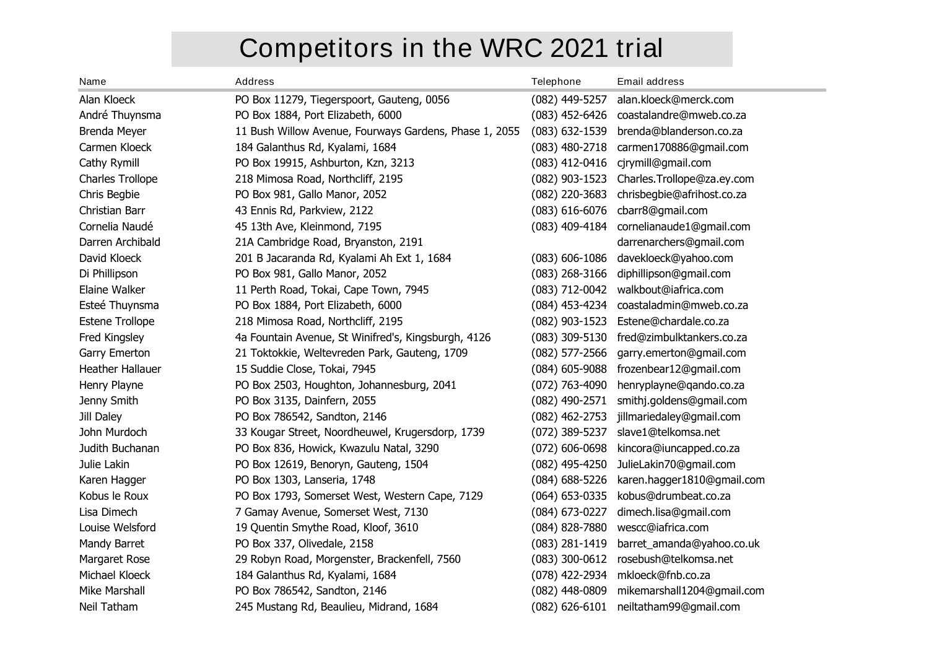# **Competitors in the WRC 2021 trial**

| <b>Name</b>             | <b>Address</b>                                         | <b>Telephone</b>   | <b>Email address</b>       |
|-------------------------|--------------------------------------------------------|--------------------|----------------------------|
| Alan Kloeck             | PO Box 11279, Tiegerspoort, Gauteng, 0056              | $(082)$ 449-5257   | alan.kloeck@merck.com      |
| André Thuynsma          | PO Box 1884, Port Elizabeth, 6000                      | $(083)$ 452-6426   | coastalandre@mweb.co.za    |
| Brenda Meyer            | 11 Bush Willow Avenue, Fourways Gardens, Phase 1, 2055 | $(083)$ 632-1539   | brenda@blanderson.co.za    |
| Carmen Kloeck           | 184 Galanthus Rd, Kyalami, 1684                        | $(083)$ 480-2718   | carmen170886@gmail.com     |
| Cathy Rymill            | PO Box 19915, Ashburton, Kzn, 3213                     | (083) 412-0416     | cjrymill@gmail.com         |
| Charles Trollope        | 218 Mimosa Road, Northcliff, 2195                      | $(082)$ 903-1523   | Charles.Trollope@za.ey.com |
| Chris Begbie            | PO Box 981, Gallo Manor, 2052                          | (082) 220-3683     | chrisbegbie@afrihost.co.za |
| Christian Barr          | 43 Ennis Rd, Parkview, 2122                            | $(083) 616 - 6076$ | cbarr8@gmail.com           |
| Cornelia Naudé          | 45 13th Ave, Kleinmond, 7195                           | $(083)$ 409-4184   | cornelianaude1@gmail.com   |
| Darren Archibald        | 21A Cambridge Road, Bryanston, 2191                    |                    | darrenarchers@gmail.com    |
| David Kloeck            | 201 B Jacaranda Rd, Kyalami Ah Ext 1, 1684             | $(083) 606 - 1086$ | davekloeck@yahoo.com       |
| Di Phillipson           | PO Box 981, Gallo Manor, 2052                          | $(083)$ 268-3166   | diphillipson@gmail.com     |
| Elaine Walker           | 11 Perth Road, Tokai, Cape Town, 7945                  | (083) 712-0042     | walkbout@iafrica.com       |
| Esteé Thuynsma          | PO Box 1884, Port Elizabeth, 6000                      | (084) 453-4234     | coastaladmin@mweb.co.za    |
| <b>Estene Trollope</b>  | 218 Mimosa Road, Northcliff, 2195                      | (082) 903-1523     | Estene@chardale.co.za      |
| Fred Kingsley           | 4a Fountain Avenue, St Winifred's, Kingsburgh, 4126    | $(083)$ 309-5130   | fred@zimbulktankers.co.za  |
| Garry Emerton           | 21 Toktokkie, Weltevreden Park, Gauteng, 1709          | $(082)$ 577-2566   | garry.emerton@gmail.com    |
| <b>Heather Hallauer</b> | 15 Suddie Close, Tokai, 7945                           | (084) 605-9088     | frozenbear12@gmail.com     |
| Henry Playne            | PO Box 2503, Houghton, Johannesburg, 2041              | $(072)$ 763-4090   | henryplayne@qando.co.za    |
| Jenny Smith             | PO Box 3135, Dainfern, 2055                            | (082) 490-2571     | smithj.goldens@gmail.com   |
| Jill Daley              | PO Box 786542, Sandton, 2146                           | $(082)$ 462-2753   | jillmariedaley@gmail.com   |
| John Murdoch            | 33 Kougar Street, Noordheuwel, Krugersdorp, 1739       | (072) 389-5237     | slave1@telkomsa.net        |
| Judith Buchanan         | PO Box 836, Howick, Kwazulu Natal, 3290                | $(072)$ 606-0698   | kincora@iuncapped.co.za    |
| Julie Lakin             | PO Box 12619, Benoryn, Gauteng, 1504                   | (082) 495-4250     | JulieLakin70@gmail.com     |
| Karen Hagger            | PO Box 1303, Lanseria, 1748                            | $(084)$ 688-5226   | karen.hagger1810@gmail.com |
| Kobus le Roux           | PO Box 1793, Somerset West, Western Cape, 7129         | $(064)$ 653-0335   | kobus@drumbeat.co.za       |
| Lisa Dimech             | 7 Gamay Avenue, Somerset West, 7130                    | (084) 673-0227     | dimech.lisa@gmail.com      |
| Louise Welsford         | 19 Quentin Smythe Road, Kloof, 3610                    | (084) 828-7880     | wescc@iafrica.com          |
| Mandy Barret            | PO Box 337, Olivedale, 2158                            | (083) 281-1419     | barret_amanda@yahoo.co.uk  |
| Margaret Rose           | 29 Robyn Road, Morgenster, Brackenfell, 7560           | $(083)$ 300-0612   | rosebush@telkomsa.net      |
| Michael Kloeck          | 184 Galanthus Rd, Kyalami, 1684                        | (078) 422-2934     | mkloeck@fnb.co.za          |
| Mike Marshall           | PO Box 786542, Sandton, 2146                           | (082) 448-0809     | mikemarshall1204@gmail.com |
| Neil Tatham             | 245 Mustang Rd, Beaulieu, Midrand, 1684                | $(082) 626 - 6101$ | neiltatham99@gmail.com     |